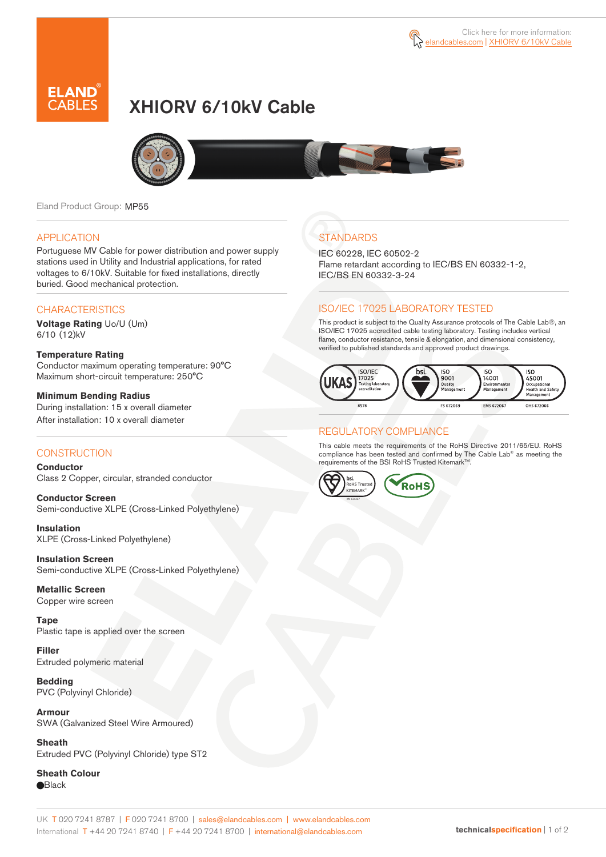



# XHIORV 6/10kV Cable



Eland Product Group: MP55

#### APPLICATION

Portuguese MV Cable for power distribution and power supply stations used in Utility and Industrial applications, for rated voltages to 6/10kV. Suitable for fixed installations, directly buried. Good mechanical protection.

### **CHARACTERISTICS**

**Voltage Rating** Uo/U (Um) 6/10 (12)kV

**Temperature Rating**  Conductor maximum operating temperature: 90°C Maximum short-circuit temperature: 250°C

**Minimum Bending Radius**  During installation: 15 x overall diameter After installation: 10 x overall diameter

### **CONSTRUCTION**

**Conductor**  Class 2 Copper, circular, stranded conductor

**Conductor Screen** Semi-conductive XLPE (Cross-Linked Polyethylene)

**Insulation** XLPE (Cross-Linked Polyethylene)

**Insulation Screen** Semi-conductive XLPE (Cross-Linked Polyethylene)

**Metallic Screen**  Copper wire screen

**Tape**  Plastic tape is applied over the screen

**Filler** Extruded polymeric material

**Bedding** PVC (Polyvinyl Chloride)

**Armour** SWA (Galvanized Steel Wire Armoured)

**Sheath** Extruded PVC (Polyvinyl Chloride) type ST2

**Sheath Colour Black** 

## **STANDARDS**

IEC 60228, IEC 60502-2 Flame retardant according to IEC/BS EN 60332-1-2, IEC/BS EN 60332-3-24

### ISO/IEC 17025 LABORATORY TESTED

This product is subject to the Quality Assurance protocols of The Cable Lab®, an ISO/IEC 17025 accredited cable testing laboratory. Testing includes vertical flame, conductor resistance, tensile & elongation, and dimensional consistency, verified to published standards and approved product drawings.



### REGULATORY COMPLIANCE

This cable meets the requirements of the RoHS Directive 2011/65/EU. RoHS compliance has been tested and confirmed by The Cable Lab® as meeting the requirements of the BSI RoHS Trusted Kitemark™.